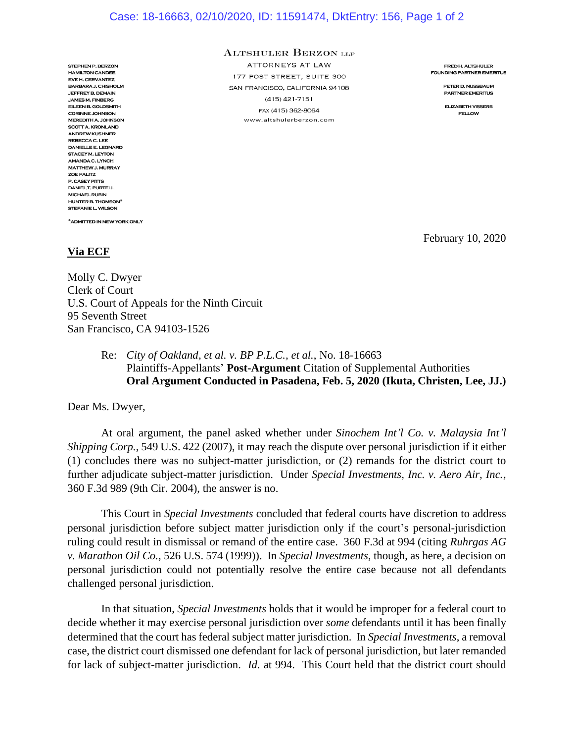## Case: 18-16663, 02/10/2020, ID: 11591474, DktEntry: 156, Page 1 of 2

STEPHEN P. BERZON **HAMILTON CANDEE** EVE H. CERVANTEZ BARBARA J. CHISHOLM **JEFFREY B. DEMAIN JAMES M. FINBERG** EILEEN B. GOLDSMITH **CORINNE JOHNSON MEREDITH A. JOHNSON SCOTT A. KRONLAND ANDREW KUSHNER** REBECCA C. LEE **DANIELLE E, LEONARD STACEY M. LEYTON** AMANDA C. LYNCH MATTHEW J. MURRAY **ZOE PALITZ** P. CASEY PITTS **DANIELT, PURTELL MICHAEL RUBIN** HUNTER B. THOMSON<sup>\*</sup> STEFANIE L. WILSON

\*ADMITTED IN NEW YORK ONLY

## **ALTSHULER BERZON LLP**

ATTORNEYS AT LAW 177 POST STREET, SUITE 300 SAN FRANCISCO, CALIFORNIA 94108  $(415)$  421-7151 FAX (415) 362-8064 www.altshulerberzon.com

**FREDH. ALTSHULER FOUNDING PARTNER EMERITUS** 

> PETER D. NUSSBAUM **PARTNER EMERITUS**

**ELIZABETH VISSERS FELLOW** 

February 10, 2020

## **Via ECF**

Molly C. Dwyer Clerk of Court U.S. Court of Appeals for the Ninth Circuit 95 Seventh Street San Francisco, CA 94103-1526

> Re: *City of Oakland, et al. v. BP P.L.C., et al.*, No. 18-16663 Plaintiffs-Appellants' **Post-Argument** Citation of Supplemental Authorities **Oral Argument Conducted in Pasadena, Feb. 5, 2020 (Ikuta, Christen, Lee, JJ.)**

Dear Ms. Dwyer,

At oral argument, the panel asked whether under *Sinochem Int'l Co. v. Malaysia Int'l Shipping Corp.*, 549 U.S. 422 (2007), it may reach the dispute over personal jurisdiction if it either (1) concludes there was no subject-matter jurisdiction, or (2) remands for the district court to further adjudicate subject-matter jurisdiction. Under *Special Investments, Inc. v. Aero Air, Inc.*, 360 F.3d 989 (9th Cir. 2004), the answer is no.

This Court in *Special Investments* concluded that federal courts have discretion to address personal jurisdiction before subject matter jurisdiction only if the court's personal-jurisdiction ruling could result in dismissal or remand of the entire case. 360 F.3d at 994 (citing *Ruhrgas AG v. Marathon Oil Co.*, 526 U.S. 574 (1999)). In *Special Investments*, though, as here, a decision on personal jurisdiction could not potentially resolve the entire case because not all defendants challenged personal jurisdiction.

In that situation, *Special Investments* holds that it would be improper for a federal court to decide whether it may exercise personal jurisdiction over *some* defendants until it has been finally determined that the court has federal subject matter jurisdiction. In *Special Investments*, a removal case, the district court dismissed one defendant for lack of personal jurisdiction, but later remanded for lack of subject-matter jurisdiction. *Id.* at 994. This Court held that the district court should